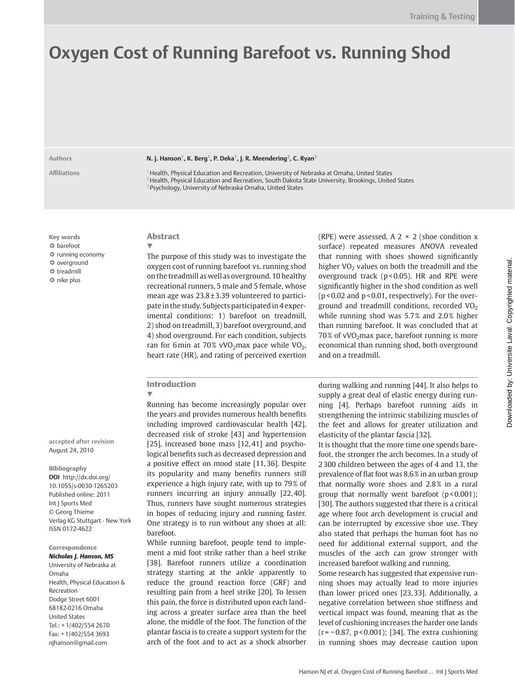# **Oxygen Cost of Running Barefoot vs. Running Shod**

Authors **N. J. Hanson<sup>1</sup>, K. Berg<sup>1</sup>, P. Deka<sup>1</sup>, J. R. Meendering<sup>2</sup>, C. Ryan<sup>3</sup>** 

**Affi liations** 1 Health, Physical Education and Recreation, University of Nebraska at Omaha, United States <sup>2</sup> Health, Physical Education and Recreation, South Dakota State University, Brookings, United States 3 Psychology, University of Nebraska Omaha, United States

Key words  $\circ$  barefoot  $\circ$  running economy  $\bullet$  overground  $\circ$  treadmill  $\circ$  nike plus

**accepted after revision**  August 24, 2010

Bibliography **DOI** http://dx.doi.org/ 10.1055/s-0030-1265203 Published online: 2011 Int J Sports Med © Georg Thieme Verlag KG Stuttgart · New York ISSN 0172-4622

Correspondence *Nicholas J. Hanson, MS*

 University of Nebraska at Omaha Health, Physical Education & Recreation Dodge Street 6001 68182-0216 Omaha United States Tel.: +1/402/554 2670 Fax: +1/402/554 3693 njhanson@gmail.com

# Abstract

▼ The purpose of this study was to investigate the oxygen cost of running barefoot vs. running shod on the treadmill as well as overground. 10 healthy recreational runners, 5 male and 5 female, whose mean age was 23.8 ± 3.39 volunteered to participate in the study. Subjects participated in 4 experimental conditions: 1) barefoot on treadmill, 2) shod on treadmill, 3) barefoot overground, and 4) shod overground. For each condition, subjects ran for 6 min at 70% vVO<sub>2</sub> max pace while VO<sub>2</sub>, heart rate (HR), and rating of perceived exertion

## Introduction

▼

 Running has become increasingly popular over the years and provides numerous health benefits including improved cardiovascular health [42], decreased risk of stroke [43] and hypertension [25], increased bone mass  $[12, 41]$  and psychological benefits such as decreased depression and a positive effect on mood state [11,36]. Despite its popularity and many benefits runners still experience a high injury rate, with up to 79% of runners incurring an injury annually [22,40]. Thus, runners have sought numerous strategies in hopes of reducing injury and running faster. One strategy is to run without any shoes at all: barefoot.

 While running barefoot, people tend to implement a mid foot strike rather than a heel strike [38]. Barefoot runners utilize a coordination strategy starting at the ankle apparently to reduce the ground reaction force (GRF) and resulting pain from a heel strike [20]. To lessen this pain, the force is distributed upon each landing across a greater surface area than the heel alone, the middle of the foot. The function of the plantar fascia is to create a support system for the arch of the foot and to act as a shock absorber (RPE) were assessed. A 2  $\times$  2 (shoe condition x surface) repeated measures ANOVA revealed that running with shoes showed significantly higher  $VO<sub>2</sub>$  values on both the treadmill and the overground track ( $p$ <0.05). HR and RPE were significantly higher in the shod condition as well (p < 0.02 and p < 0.01, respectively). For the overground and treadmill conditions, recorded  $VO<sub>2</sub>$ while running shod was  $5.7\%$  and  $2.0\%$  higher than running barefoot. It was concluded that at  $70\%$  of vVO<sub>2</sub> max pace, barefoot running is more economical than running shod, both overground and on a treadmill.

during walking and running [44] . It also helps to supply a great deal of elastic energy during running [4]. Perhaps barefoot running aids in strengthening the intrinsic stabilizing muscles of the feet and allows for greater utilization and elasticity of the plantar fascia [32] .

 It is thought that the more time one spends barefoot, the stronger the arch becomes. In a study of 2 300 children between the ages of 4 and 13, the prevalence of flat foot was 8.6% in an urban group that normally wore shoes and 2.8 % in a rural group that normally went barefoot  $(p < 0.001)$ ; [30]. The authors suggested that there is a critical age where foot arch development is crucial and can be interrupted by excessive shoe use. They also stated that perhaps the human foot has no need for additional external support, and the muscles of the arch can grow stronger with increased barefoot walking and running.

 Some research has suggested that expensive running shoes may actually lead to more injuries than lower priced ones [23,33]. Additionally, a negative correlation between shoe stiffness and vertical impact was found, meaning that as the level of cushioning increases the harder one lands (r = − 0.87, p < 0.001); [34] . The extra cushioning in running shoes may decrease caution upon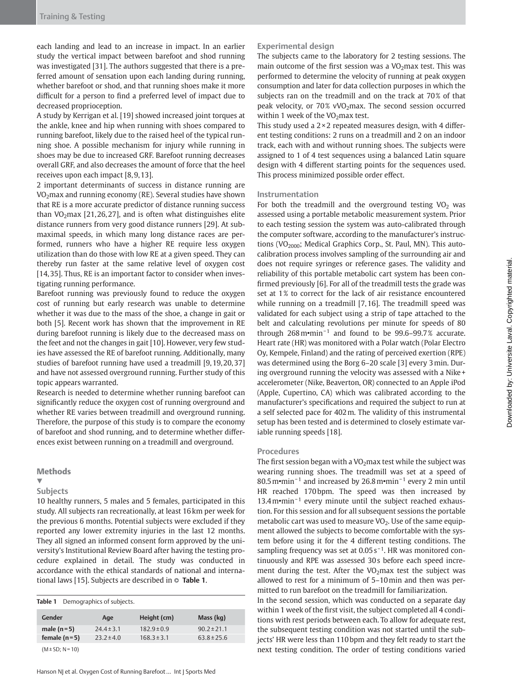each landing and lead to an increase in impact. In an earlier study the vertical impact between barefoot and shod running was investigated [31]. The authors suggested that there is a preferred amount of sensation upon each landing during running, whether barefoot or shod, and that running shoes make it more difficult for a person to find a preferred level of impact due to decreased proprioception.

 A study by Kerrigan et al. [19] showed increased joint torques at the ankle, knee and hip when running with shoes compared to running barefoot, likely due to the raised heel of the typical running shoe. A possible mechanism for injury while running in shoes may be due to increased GRF. Barefoot running decreases overall GRF, and also decreases the amount of force that the heel receives upon each impact [8,9,13].

 2 important determinants of success in distance running are  $VO<sub>2</sub>$ max and running economy (RE). Several studies have shown that RE is a more accurate predictor of distance running success than VO<sub>2</sub> max [21, 26, 27], and is often what distinguishes elite distance runners from very good distance runners [29]. At submaximal speeds, in which many long distance races are performed, runners who have a higher RE require less oxygen utilization than do those with low RE at a given speed. They can thereby run faster at the same relative level of oxygen cost [14, 35]. Thus, RE is an important factor to consider when investigating running performance.

 Barefoot running was previously found to reduce the oxygen cost of running but early research was unable to determine whether it was due to the mass of the shoe, a change in gait or both [5]. Recent work has shown that the improvement in RE during barefoot running is likely due to the decreased mass on the feet and not the changes in gait [10] . However, very few studies have assessed the RE of barefoot running. Additionally, many studies of barefoot running have used a treadmill [9, 19, 20, 37] and have not assessed overground running. Further study of this topic appears warranted.

 Research is needed to determine whether running barefoot can significantly reduce the oxygen cost of running overground and whether RE varies between treadmill and overground running. Therefore, the purpose of this study is to compare the economy of barefoot and shod running, and to determine whether differences exist between running on a treadmill and overground.

### **Methods**

#### ▼

# **Subjects**

 10 healthy runners, 5 males and 5 females, participated in this study. All subjects ran recreationally, at least 16 km per week for the previous 6 months. Potential subjects were excluded if they reported any lower extremity injuries in the last 12 months. They all signed an informed consent form approved by the university's Institutional Review Board after having the testing procedure explained in detail. The study was conducted in accordance with the ethical standards of national and international laws [15]. Subjects are described in  $\circ$  **Table 1**.

| Table 1              | Demographics of subjects. |                 |                 |
|----------------------|---------------------------|-----------------|-----------------|
| Gender               | Age                       | Height (cm)     | Mass (kg)       |
| male $(n=5)$         | $744 \pm 3.1$             | $182.9 \pm 0.9$ | $90.2 \pm 21.1$ |
| female $(n=5)$       | $73.7 \pm 4.0$            | $168.3 \pm 3.1$ | $63.8 \pm 25.6$ |
| $(M \pm SD; N = 10)$ |                           |                 |                 |

## **Experimental design**

 The subjects came to the laboratory for 2 testing sessions. The main outcome of the first session was a  $VO<sub>2</sub>$  max test. This was performed to determine the velocity of running at peak oxygen consumption and later for data collection purposes in which the subjects ran on the treadmill and on the track at 70% of that peak velocity, or  $70\%$  vVO<sub>2</sub> max. The second session occurred within 1 week of the  $VO<sub>2</sub>$  max test.

This study used a  $2 \times 2$  repeated measures design, with 4 different testing conditions: 2 runs on a treadmill and 2 on an indoor track, each with and without running shoes. The subjects were assigned to 1 of 4 test sequences using a balanced Latin square design with 4 different starting points for the sequences used. This process minimized possible order effect.

#### **Instrumentation**

For both the treadmill and the overground testing  $VO<sub>2</sub>$  was assessed using a portable metabolic measurement system. Prior to each testing session the system was auto-calibrated through the computer software, according to the manufacturer's instructions (VO $_{2000}$ ; Medical Graphics Corp., St. Paul, MN). This autocalibration process involves sampling of the surrounding air and does not require syringes or reference gases. The validity and reliability of this portable metabolic cart system has been confirmed previously [6]. For all of the treadmill tests the grade was set at 1% to correct for the lack of air resistance encountered while running on a treadmill [7,16]. The treadmill speed was validated for each subject using a strip of tape attached to the belt and calculating revolutions per minute for speeds of 80 through  $268 \text{m} \cdot \text{min}^{-1}$  and found to be 99.6-99.7% accurate. Heart rate (HR) was monitored with a Polar watch (Polar Electro Oy, Kempele, Finland) and the rating of perceived exertion (RPE) was determined using the Borg 6-20 scale [3] every 3 min. During overground running the velocity was assessed with a Nike + accelerometer (Nike, Beaverton, OR) connected to an Apple iPod (Apple, Cupertino, CA) which was calibrated according to the manufacturer's specifications and required the subject to run at a self selected pace for 402 m. The validity of this instrumental setup has been tested and is determined to closely estimate variable running speeds [18].

#### **Procedures**

The first session began with a  $VO<sub>2</sub>$  max test while the subject was wearing running shoes. The treadmill was set at a speed of 80.5 m•min<sup>-1</sup> and increased by 26.8 m•min<sup>-1</sup> every 2 min until HR reached 170 bpm. The speed was then increased by 13.4 m•min<sup>-1</sup> every minute until the subject reached exhaustion. For this session and for all subsequent sessions the portable metabolic cart was used to measure  $VO<sub>2</sub>$ . Use of the same equipment allowed the subjects to become comfortable with the system before using it for the 4 different testing conditions. The sampling frequency was set at  $0.05$  s<sup>-1</sup>. HR was monitored continuously and RPE was assessed 30 s before each speed increment during the test. After the  $VO<sub>2</sub>$  max test the subject was allowed to rest for a minimum of 5 – 10 min and then was permitted to run barefoot on the treadmill for familiarization.

 In the second session, which was conducted on a separate day within 1 week of the first visit, the subject completed all 4 conditions with rest periods between each. To allow for adequate rest, the subsequent testing condition was not started until the subjects' HR were less than 110 bpm and they felt ready to start the next testing condition. The order of testing conditions varied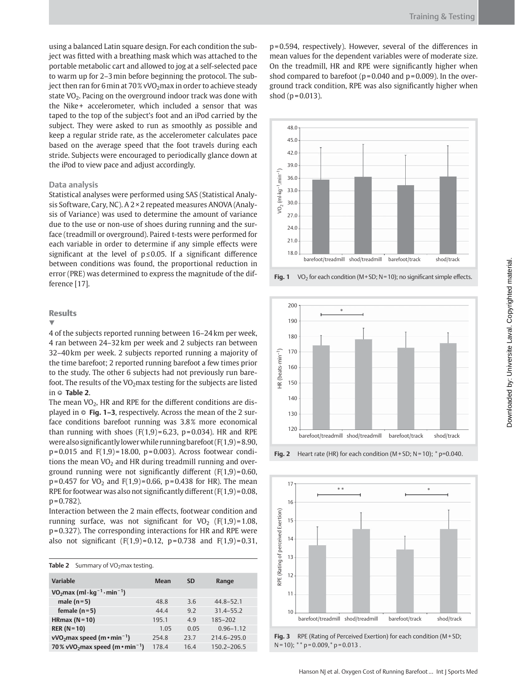using a balanced Latin square design. For each condition the subject was fitted with a breathing mask which was attached to the portable metabolic cart and allowed to jog at a self-selected pace to warm up for 2-3 min before beginning the protocol. The subject then ran for 6 min at 70% vVO<sub>2</sub> max in order to achieve steady state  $VO<sub>2</sub>$ . Pacing on the overground indoor track was done with the Nike+ accelerometer, which included a sensor that was taped to the top of the subject's foot and an iPod carried by the subject. They were asked to run as smoothly as possible and keep a regular stride rate, as the accelerometer calculates pace based on the average speed that the foot travels during each stride. Subjects were encouraged to periodically glance down at the iPod to view pace and adjust accordingly.

#### **Data analysis**

 Statistical analyses were performed using SAS (Statistical Analysis Software, Cary, NC). A 2 × 2 repeated measures ANOVA (Analysis of Variance) was used to determine the amount of variance due to the use or non-use of shoes during running and the surface (treadmill or overground). Paired t-tests were performed for each variable in order to determine if any simple effects were significant at the level of  $p \le 0.05$ . If a significant difference between conditions was found, the proportional reduction in error (PRE) was determined to express the magnitude of the difference [17].

## **Results**

▼

 4 of the subjects reported running between 16 – 24 km per week, 4 ran between 24 – 32 km per week and 2 subjects ran between 32 – 40 km per week. 2 subjects reported running a majority of the time barefoot; 2 reported running barefoot a few times prior to the study. The other 6 subjects had not previously run barefoot. The results of the  $VO<sub>2</sub>$ max testing for the subjects are listed in  $\circ$  **Table 2**.

The mean  $VO<sub>2</sub>$ , HR and RPE for the different conditions are displayed in **☉ Fig. 1–3**, respectively. Across the mean of the 2 surface conditions barefoot running was 3.8% more economical than running with shoes  $(F(1,9)=6.23, p=0.034)$ . HR and RPE were also significantly lower while running barefoot  $(F(1,9) = 8.90,$  $p = 0.015$  and  $F(1,9) = 18.00$ ,  $p = 0.003$ ). Across footwear conditions the mean  $VO<sub>2</sub>$  and HR during treadmill running and overground running were not significantly different  $(F(1,9) = 0.60,$  $p = 0.457$  for VO<sub>2</sub> and F(1,9) = 0.66, p = 0.438 for HR). The mean RPE for footwear was also not significantly different  $(F(1,9) = 0.08,$  $p = 0.782$ ).

Interaction between the 2 main effects, footwear condition and running surface, was not significant for VO<sub>2</sub> (F(1,9) = 1.08, p = 0.327). The corresponding interactions for HR and RPE were also not significant  $(F(1,9)=0.12, p=0.738$  and  $F(1,9)=0.31,$ 

|  | Table 2 Summary of $VO2$ max testing. |  |  |
|--|---------------------------------------|--|--|
|--|---------------------------------------|--|--|

| Variable                                                                     | Mean  | <b>SD</b> | Range           |
|------------------------------------------------------------------------------|-------|-----------|-----------------|
| VO <sub>2</sub> max (ml $\cdot$ kg <sup>-1</sup> $\cdot$ min <sup>-1</sup> ) |       |           |                 |
| male $(n=5)$                                                                 | 48.8  | 3.6       | $44.8 - 52.1$   |
| female $(n=5)$                                                               | 44.4  | 9.2       | $31.4 - 55.2$   |
| HRmax $(N=10)$                                                               | 195.1 | 4.9       | 185-202         |
| $RER (N=10)$                                                                 | 1.05  | 0.05      | $0.96 - 1.12$   |
| $vVO2$ max speed (m $\cdot$ min <sup>-1</sup> )                              | 254.8 | 23.7      | $214.6 - 295.0$ |
| 70% vVO <sub>2</sub> max speed (m $\cdot$ min <sup>-1</sup> )                | 178.4 | 16.4      | $150.2 - 206.5$ |

 $p = 0.594$ , respectively). However, several of the differences in mean values for the dependent variables were of moderate size. On the treadmill, HR and RPE were significantly higher when shod compared to barefoot ( $p = 0.040$  and  $p = 0.009$ ). In the overground track condition, RPE was also significantly higher when shod  $(p = 0.013)$ .



**Fig. 1** VO<sub>2</sub> for each condition (M + SD; N = 10); no significant simple effects.



**Fig. 2** Heart rate (HR) for each condition (M + SD; N = 10);  $*$  p=0.040.



**Fig. 3** RPE (Rating of Perceived Exertion) for each condition (M + SD;  $N = 10$ ; \*\*  $p = 0.009$ , \*  $p = 0.013$ .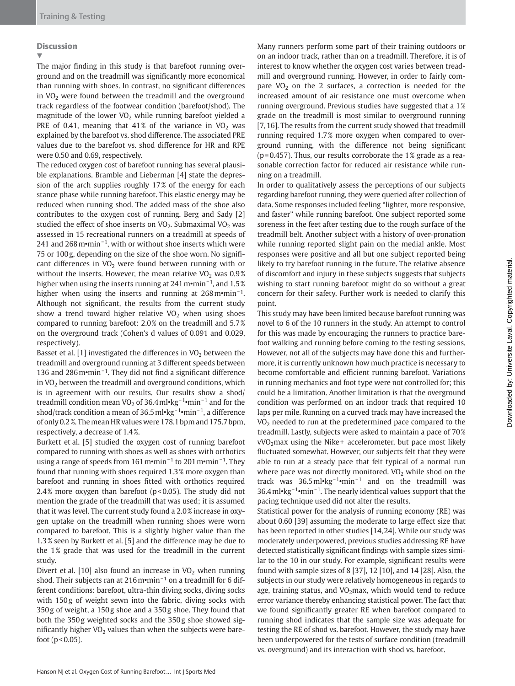# **Discussion**

▼

The major finding in this study is that barefoot running overground and on the treadmill was significantly more economical than running with shoes. In contrast, no significant differences in  $VO<sub>2</sub>$  were found between the treadmill and the overground track regardless of the footwear condition (barefoot/shod). The magnitude of the lower  $VO<sub>2</sub>$  while running barefoot yielded a PRE of 0.41, meaning that 41% of the variance in  $VO<sub>2</sub>$  was explained by the barefoot vs. shod difference. The associated PRE values due to the barefoot vs. shod difference for HR and RPE were 0.50 and 0.69, respectively.

 The reduced oxygen cost of barefoot running has several plausible explanations. Bramble and Lieberman [4] state the depression of the arch supplies roughly 17% of the energy for each stance phase while running barefoot. This elastic energy may be reduced when running shod. The added mass of the shoe also contributes to the oxygen cost of running. Berg and Sady [2] studied the effect of shoe inserts on  $VO<sub>2</sub>$ . Submaximal  $VO<sub>2</sub>$  was assessed in 15 recreational runners on a treadmill at speeds of 241 and 268 m•min<sup>-1</sup>, with or without shoe inserts which were 75 or 100 g, depending on the size of the shoe worn. No significant differences in  $VO<sub>2</sub>$  were found between running with or without the inserts. However, the mean relative  $VO<sub>2</sub>$  was 0.9% higher when using the inserts running at 241 m•min<sup>-1</sup>, and 1.5% higher when using the inserts and running at  $268 \text{ m} \cdot \text{min}^{-1}$ . Although not significant, the results from the current study show a trend toward higher relative  $VO<sub>2</sub>$  when using shoes compared to running barefoot: 2.0 % on the treadmill and 5.7 % on the overground track (Cohen's d values of 0.091 and 0.029, respectively).

Basset et al. [1] investigated the differences in  $VO<sub>2</sub>$  between the treadmill and overground running at 3 different speeds between 136 and 286 m•min<sup>-1</sup>. They did not find a significant difference in  $VO<sub>2</sub>$  between the treadmill and overground conditions, which is in agreement with our results. Our results show a shod/ treadmill condition mean VO<sub>2</sub> of 36.4 ml•kg<sup>-1</sup>•min<sup>-1</sup> and for the shod/track condition a mean of 36.5 ml•kg<sup>-1</sup>•min<sup>-1</sup>, a difference of only 0.2 % . The mean HR values were 178.1 bpm and 175.7 bpm, respectively, a decrease of 1.4%.

 Burkett et al. [5] studied the oxygen cost of running barefoot compared to running with shoes as well as shoes with orthotics using a range of speeds from 161 m•min<sup>-1</sup> to 201 m•min<sup>-1</sup>. They found that running with shoes required 1.3 % more oxygen than barefoot and running in shoes fitted with orthotics required 2.4 % more oxygen than barefoot (p < 0.05). The study did not mention the grade of the treadmill that was used; it is assumed that it was level. The current study found a 2.0 % increase in oxygen uptake on the treadmill when running shoes were worn compared to barefoot. This is a slightly higher value than the 1.3% seen by Burkett et al. [5] and the difference may be due to the 1% grade that was used for the treadmill in the current study.

Divert et al. [10] also found an increase in  $VO<sub>2</sub>$  when running shod. Their subjects ran at 216 m•min<sup> $-1$ </sup> on a treadmill for 6 different conditions: barefoot, ultra-thin diving socks, diving socks with 150g of weight sewn into the fabric, diving socks with 350 g of weight, a 150 g shoe and a 350 g shoe. They found that both the 350g weighted socks and the 350g shoe showed significantly higher  $VO<sub>2</sub>$  values than when the subjects were barefoot ( $p < 0.05$ ).

 Many runners perform some part of their training outdoors or on an indoor track, rather than on a treadmill. Therefore, it is of interest to know whether the oxygen cost varies between treadmill and overground running. However, in order to fairly compare  $VO<sub>2</sub>$  on the 2 surfaces, a correction is needed for the increased amount of air resistance one must overcome when running overground. Previous studies have suggested that a 1 % grade on the treadmill is most similar to overground running [7, 16]. The results from the current study showed that treadmill running required 1.7 % more oxygen when compared to overground running, with the difference not being significant  $(p=0.457)$ . Thus, our results corroborate the 1% grade as a reasonable correction factor for reduced air resistance while running on a treadmill.

 In order to qualitatively assess the perceptions of our subjects regarding barefoot running, they were queried after collection of data. Some responses included feeling " lighter, more responsive, and faster" while running barefoot. One subject reported some soreness in the feet after testing due to the rough surface of the treadmill belt. Another subject with a history of over-pronation while running reported slight pain on the medial ankle. Most responses were positive and all but one subject reported being likely to try barefoot running in the future. The relative absence of discomfort and injury in these subjects suggests that subjects wishing to start running barefoot might do so without a great concern for their safety. Further work is needed to clarify this point.

 This study may have been limited because barefoot running was novel to 6 of the 10 runners in the study. An attempt to control for this was made by encouraging the runners to practice barefoot walking and running before coming to the testing sessions. However, not all of the subjects may have done this and furthermore, it is currently unknown how much practice is necessary to become comfortable and efficient running barefoot. Variations in running mechanics and foot type were not controlled for; this could be a limitation. Another limitation is that the overground condition was performed on an indoor track that required 10 laps per mile. Running on a curved track may have increased the  $VO<sub>2</sub>$  needed to run at the predetermined pace compared to the treadmill. Lastly, subjects were asked to maintain a pace of 70 %  $vVO<sub>2</sub>$ max using the Nike + accelerometer, but pace most likely fluctuated somewhat. However, our subjects felt that they were able to run at a steady pace that felt typical of a normal run where pace was not directly monitored. VO<sub>2</sub> while shod on the track was 36.5 ml•kg<sup>-1</sup>•min<sup>-1</sup> and on the treadmill was 36.4 ml•kg<sup>-1</sup>•min<sup>-1</sup>. The nearly identical values support that the pacing technique used did not alter the results.

 Statistical power for the analysis of running economy (RE) was about 0.60 [39] assuming the moderate to large effect size that has been reported in other studies [14, 24]. While our study was moderately underpowered, previous studies addressing RE have detected statistically significant findings with sample sizes similar to the 10 in our study. For example, significant results were found with sample sizes of 8 [37], 12 [10], and 14 [28]. Also, the subjects in our study were relatively homogeneous in regards to age, training status, and VO<sub>2</sub> max, which would tend to reduce error variance thereby enhancing statistical power. The fact that we found significantly greater RE when barefoot compared to running shod indicates that the sample size was adequate for testing the RE of shod vs. barefoot. However, the study may have been underpowered for the tests of surface condition (treadmill vs. overground) and its interaction with shod vs. barefoot.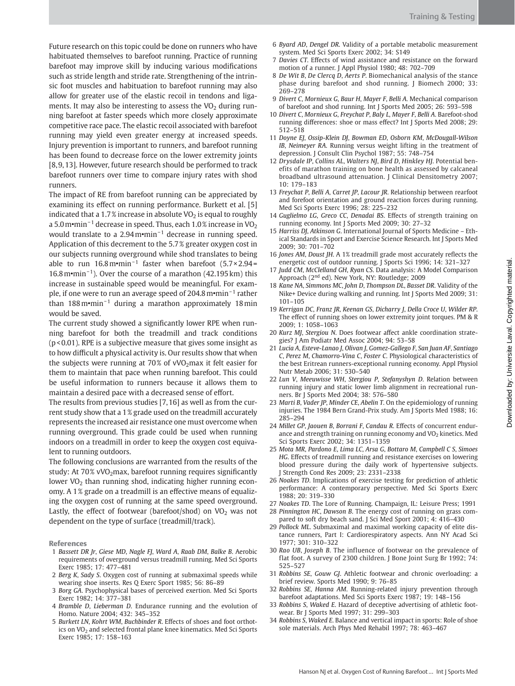Future research on this topic could be done on runners who have habituated themselves to barefoot running. Practice of running barefoot may improve skill by inducing various modifications such as stride length and stride rate. Strengthening of the intrinsic foot muscles and habituation to barefoot running may also allow for greater use of the elastic recoil in tendons and ligaments. It may also be interesting to assess the  $VO<sub>2</sub>$  during running barefoot at faster speeds which more closely approximate

competitive race pace. The elastic recoil associated with barefoot running may yield even greater energy at increased speeds. Injury prevention is important to runners, and barefoot running has been found to decrease force on the lower extremity joints [8, 9, 13]. However, future research should be performed to track barefoot runners over time to compare injury rates with shod runners.

 The impact of RE from barefoot running can be appreciated by examining its effect on running performance. Burkett et al. [5] indicated that a 1.7% increase in absolute  $VO<sub>2</sub>$  is equal to roughly a 5.0 m•min<sup>-1</sup> decrease in speed. Thus, each 1.0% increase in VO<sub>2</sub> would translate to a 2.94 m•min<sup>-1</sup> decrease in running speed. Application of this decrement to the 5.7 % greater oxygen cost in our subjects running overground while shod translates to being able to run  $16.8 \text{ m} \cdot \text{min}^{-1}$  faster when barefoot (5.7 × 2.94 = 16.8 m•min<sup>-1</sup>). Over the course of a marathon  $(42.195 \text{ km})$  this increase in sustainable speed would be meaningful. For example, if one were to run an average speed of 204.8 m•min<sup>-1</sup> rather than 188 m•min<sup>-1</sup> during a marathon approximately 18 min would be saved.

The current study showed a significantly lower RPE when running barefoot for both the treadmill and track conditions (p < 0.01). RPE is a subjective measure that gives some insight as to how difficult a physical activity is. Our results show that when the subjects were running at 70% of vVO<sub>2</sub> max it felt easier for them to maintain that pace when running barefoot. This could be useful information to runners because it allows them to maintain a desired pace with a decreased sense of effort.

 The results from previous studies [7, 16] as well as from the current study show that a 1 % grade used on the treadmill accurately represents the increased air resistance one must overcome when running overground. This grade could be used when running indoors on a treadmill in order to keep the oxygen cost equivalent to running outdoors.

 The following conclusions are warranted from the results of the study: At  $70\%$  vVO<sub>2</sub> max, barefoot running requires significantly lower VO<sub>2</sub> than running shod, indicating higher running economy. A 1% grade on a treadmill is an effective means of equalizing the oxygen cost of running at the same speed overground. Lastly, the effect of footwear (barefoot/shod) on  $VO<sub>2</sub>$  was not dependent on the type of surface (treadmill/track).

References

- 1 *Bassett DR Jr* , *Giese MD* , *Nagle FJ* , *Ward A* , *Raab DM* , *Balke B* . Aerobic requirements of overground versus treadmill running. Med Sci Sports Exerc 1985; 17: 477-481
- 2 *Berg K* , *Sady S* . Oxygen cost of running at submaximal speeds while wearing shoe inserts. Res Q Exerc Sport 1985; 56: 86-89
- 3 *Borg GA* . Psychophysical bases of perceived exertion . Med Sci Sports Exerc 1982; 14: 377-381
- 4 *Bramble D, Lieberman D.* Endurance running and the evolution of Homo. Nature 2004; 432: 345-352
- 5 *Burkett LN, Kohrt WM, Buchbinder R. Effects of shoes and foot orthot*ics on VO<sub>2</sub> and selected frontal plane knee kinematics. Med Sci Sports Exerc 1985; 17: 158-163
- 6 *Byard AD* , *Dengel DR* . Validity of a portable metabolic measurement system. Med Sci Sports Exerc 2002; 34: S149
- 7 Davies CT. Effects of wind assistance and resistance on the forward motion of a runner. J Appl Physiol 1980; 48: 702-709
- 8 *De Wit B* , *De Clercq D* , *Aerts P* . Biomechanical analysis of the stance phase during barefoot and shod running. J Biomech 2000; 33: 269 – 278
- 9 *Divert C* , *Mornieux G* , *Baur H* , *Mayer F* , *Belli A* . Mechanical comparison of barefoot and shod running. Int J Sports Med 2005; 26: 593-598
- 10 *Divert C* , *Mornieux G* , *Freychat P* , *Baly L* , *Mayer F* , *Belli A* . Barefoot-shod running differences: shoe or mass effect? Int J Sports Med 2008; 29: 512 – 518
- 11 *Doyne EJ* , *Ossip-Klein DJ* , *Bowman ED* , *Osborn KM* , *McDougall-Wilson IB* , *Neimeyer RA* . Running versus weight lifting in the treatment of depression. J Consult Clin Psychol 1987; 55: 748-754
- 12 *Drysdale IP* , *Collins AL* , *Walters NJ* , *Bird D* , *Hinkley HJ* . Potential benefits of marathon training on bone health as assessed by calcaneal broadband ultrasound attenuation. J Clinical Densitometry 2007; 10: 179-183
- 13 *Freychat P* , *Belli A* , *Carret JP* , *Lacour JR* . Relationship between rearfoot and forefoot orientation and ground reaction forces during running. Med Sci Sports Exerc 1996; 28: 225-232
- 14 *Guglielmo LG, Greco CC, Denadai BS. Effects of strength training on* running economy. Int J Sports Med 2009; 30: 27-32
- 15 *Harriss DJ* , *Atkinson G* . International Journal of Sports Medicine Ethical Standards in Sport and Exercise Science Research. Int J Sports Med 2009 ; 30 : 701 – 702
- 16 *Jones AM*, *Doust JH*. A 1% treadmill grade most accurately reflects the energetic cost of outdoor running. J Sports Sci 1996; 14: 321-327
- 17 *Judd CM* , *McClelland GH* , *Ryan CS* . Data analysis: A Model Comparison Approach (2<sup>nd</sup> ed). New York, NY: Routledge; 2009
- 18 *Kane NA* , *Simmons MC* , *John D* , *Thompson DL* , *Basset DR* . Validity of the Nike+ Device during walking and running. Int J Sports Med 2009; 31:  $101 - 105$
- 19 *Kerrigan DC* , *Franz JR* , *Keenan GS* , *Dicharry J* , *Della Croce U* , *Wilder RP* . The effect of running shoes on lower extremity joint torques. PM & R 2009: 1: 1058-1063
- 20 *Kurz MJ*, *Stergiou N*. Does footwear affect ankle coordination strategies? J Am Podiatr Med Assoc 2004; 94: 53-58
- 21 *Lucia A* , *Esteve-Lanao J* , *Olivan J* , *Gomez-Gallego F* , *San Juan AF* , *Santiago C* , *Perez M* , *Chamorro-Vina C* , *Foster C* . Physiological characteristics of the best Eritrean runners-exceptional running economy . Appl Physiol Nutr Metab 2006; 31: 530-540
- 22 *Lun V* , *Meeuwisse WH* , *Stergiou P* , *Stefanyshyn D* . Relation between running injury and static lower limb alignment in recreational runners. Br J Sports Med 2004; 38: 576-580
- 23 *Marti B* , *Vader JP* , *Minder CE* , *Abelin T* . On the epidemiology of running injuries. The 1984 Bern Grand-Prix study. Am J Sports Med 1988; 16: 285 – 294
- 24 *Millet GP*, *Jaouen B*, *Borrani F*, *Candau R*. Effects of concurrent endurance and strength training on running economy and  $VO<sub>2</sub>$  kinetics. Med Sci Sports Exerc 2002; 34: 1351-1359
- 25 *Mota MR* , *Pardono E* , *Lima LC* , *Arsa G* , *Bottaro M* , *Campbell C S* , *Simoes* HG. Effects of treadmill running and resistance exercises on lowering blood pressure during the daily work of hypertensive subjects. J Strength Cond Res 2009; 23: 2331-2338
- 26 *Noakes TD* . Implications of exercise testing for prediction of athletic performance: A contemporary perspective. Med Sci Sports Exerc 1988: 20: 319-330
- 27 *Noakes TD*. The Lore of Running. Champaign, IL: Leisure Press; 1991
- 28 *Pinnington HC* , *Dawson B* . The energy cost of running on grass compared to soft dry beach sand. J Sci Med Sport 2001; 4: 416-430
- 29 *Pollock ML* . Submaximal and maximal working capacity of elite distance runners, Part I: Cardiorespiratory aspects . Ann NY Acad Sci 1977; 301: 310-322
- 30 *Rao UB* , *Joseph B* . The influence of footwear on the prevalence of flat foot. A survey of 2300 children. J Bone Joint Surg Br 1992; 74: 525 – 527
- 31 *Robbins SE* , *Gouw GJ* . Athletic footwear and chronic overloading: a brief review. Sports Med 1990; 9: 76-85
- 32 *Robbins SE* , *Hanna AM* . Running-related injury prevention through barefoot adaptations. Med Sci Sports Exerc 1987; 19: 148-156
- 33 *Robbins S* , *Waked E* . Hazard of deceptive advertising of athletic footwear. Br J Sports Med 1997; 31: 299-303
- 34 *Robbins S* , *Waked E* . Balance and vertical impact in sports: Role of shoe sole materials. Arch Phys Med Rehabil 1997; 78: 463-467